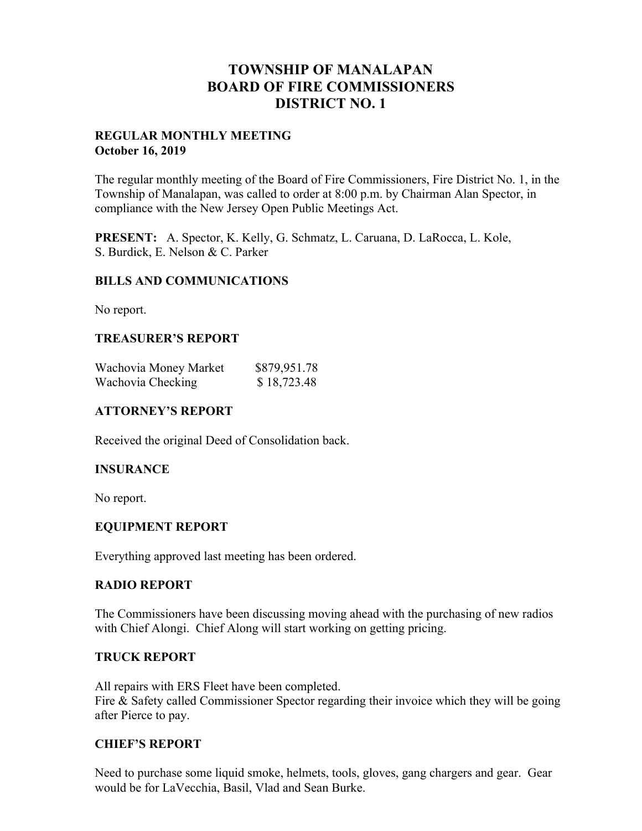## **TOWNSHIP OF MANALAPAN BOARD OF FIRE COMMISSIONERS DISTRICT NO. 1**

#### **REGULAR MONTHLY MEETING October 16, 2019**

The regular monthly meeting of the Board of Fire Commissioners, Fire District No. 1, in the Township of Manalapan, was called to order at 8:00 p.m. by Chairman Alan Spector, in compliance with the New Jersey Open Public Meetings Act.

**PRESENT:** A. Spector, K. Kelly, G. Schmatz, L. Caruana, D. LaRocca, L. Kole, S. Burdick, E. Nelson & C. Parker

#### **BILLS AND COMMUNICATIONS**

No report.

## **TREASURER'S REPORT**

| Wachovia Money Market | \$879,951.78 |
|-----------------------|--------------|
| Wachovia Checking     | \$18,723.48  |

### **ATTORNEY'S REPORT**

Received the original Deed of Consolidation back.

#### **INSURANCE**

No report.

#### **EQUIPMENT REPORT**

Everything approved last meeting has been ordered.

#### **RADIO REPORT**

The Commissioners have been discussing moving ahead with the purchasing of new radios with Chief Alongi. Chief Along will start working on getting pricing.

#### **TRUCK REPORT**

All repairs with ERS Fleet have been completed. Fire & Safety called Commissioner Spector regarding their invoice which they will be going after Pierce to pay.

#### **CHIEF'S REPORT**

Need to purchase some liquid smoke, helmets, tools, gloves, gang chargers and gear. Gear would be for LaVecchia, Basil, Vlad and Sean Burke.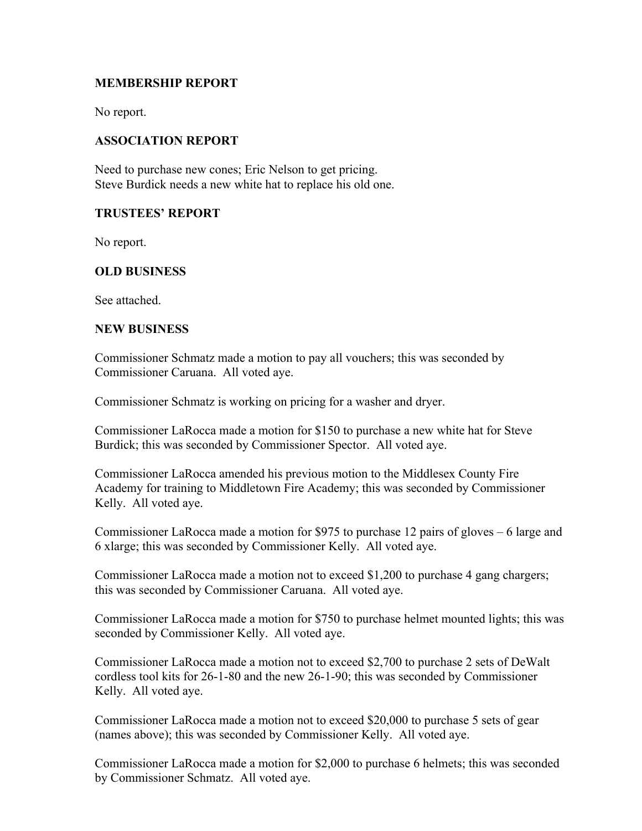## **MEMBERSHIP REPORT**

No report.

## **ASSOCIATION REPORT**

Need to purchase new cones; Eric Nelson to get pricing. Steve Burdick needs a new white hat to replace his old one.

#### **TRUSTEES' REPORT**

No report.

## **OLD BUSINESS**

See attached.

#### **NEW BUSINESS**

Commissioner Schmatz made a motion to pay all vouchers; this was seconded by Commissioner Caruana. All voted aye.

Commissioner Schmatz is working on pricing for a washer and dryer.

Commissioner LaRocca made a motion for \$150 to purchase a new white hat for Steve Burdick; this was seconded by Commissioner Spector. All voted aye.

Commissioner LaRocca amended his previous motion to the Middlesex County Fire Academy for training to Middletown Fire Academy; this was seconded by Commissioner Kelly. All voted aye.

Commissioner LaRocca made a motion for \$975 to purchase 12 pairs of gloves – 6 large and 6 xlarge; this was seconded by Commissioner Kelly. All voted aye.

Commissioner LaRocca made a motion not to exceed \$1,200 to purchase 4 gang chargers; this was seconded by Commissioner Caruana. All voted aye.

Commissioner LaRocca made a motion for \$750 to purchase helmet mounted lights; this was seconded by Commissioner Kelly. All voted aye.

Commissioner LaRocca made a motion not to exceed \$2,700 to purchase 2 sets of DeWalt cordless tool kits for 26-1-80 and the new 26-1-90; this was seconded by Commissioner Kelly. All voted aye.

Commissioner LaRocca made a motion not to exceed \$20,000 to purchase 5 sets of gear (names above); this was seconded by Commissioner Kelly. All voted aye.

Commissioner LaRocca made a motion for \$2,000 to purchase 6 helmets; this was seconded by Commissioner Schmatz. All voted aye.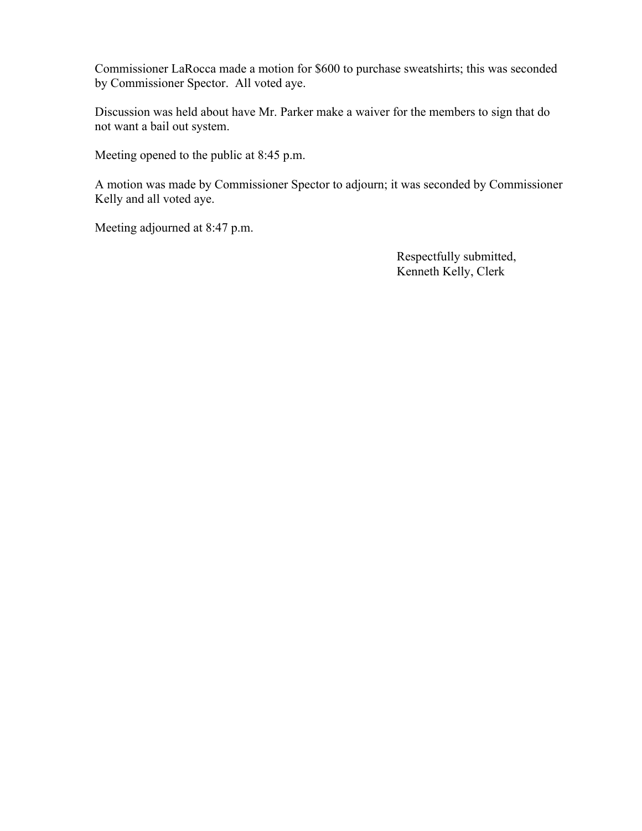Commissioner LaRocca made a motion for \$600 to purchase sweatshirts; this was seconded by Commissioner Spector. All voted aye.

Discussion was held about have Mr. Parker make a waiver for the members to sign that do not want a bail out system.

Meeting opened to the public at 8:45 p.m.

A motion was made by Commissioner Spector to adjourn; it was seconded by Commissioner Kelly and all voted aye.

Meeting adjourned at 8:47 p.m.

 Respectfully submitted, Kenneth Kelly, Clerk